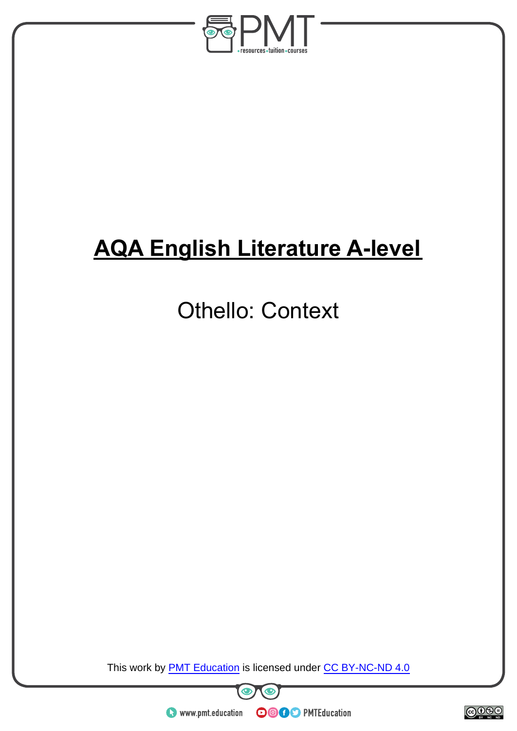

# **AQA English Literature A-level**

## Othello: Context

This work by **PMT Education** is licensed under CC BY-NC-ND 4.0





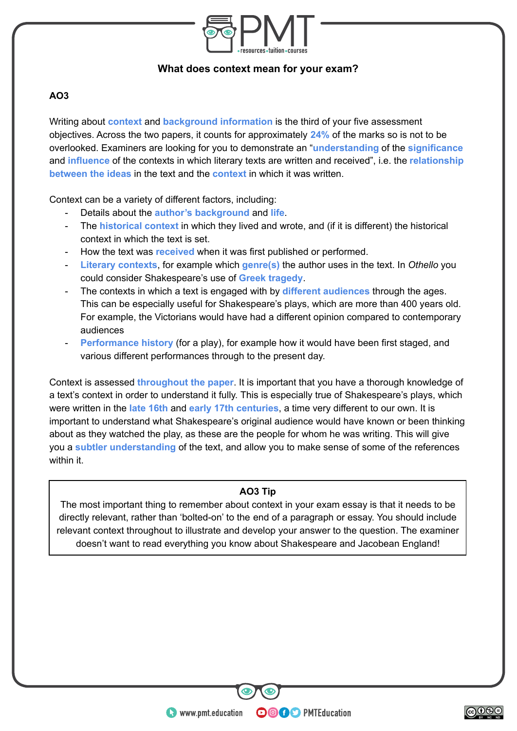

#### **What does context mean for your exam?**

#### **AO3**

Writing about **context** and **background information** is the third of your five assessment objectives. Across the two papers, it counts for approximately **24%** of the marks so is not to be overlooked. Examiners are looking for you to demonstrate an "**understanding** of the **significance** and **influence** of the contexts in which literary texts are written and received", i.e. the **relationship between the ideas** in the text and the **context** in which it was written.

Context can be a variety of different factors, including:

- Details about the **author's background** and **life**.
- The **historical context** in which they lived and wrote, and (if it is different) the historical context in which the text is set.
- How the text was **received** when it was first published or performed.
- **Literary contexts**, for example which **genre(s)** the author uses in the text. In *Othello* you could consider Shakespeare's use of **Greek tragedy**.
- The contexts in which a text is engaged with by **different audiences** through the ages. This can be especially useful for Shakespeare's plays, which are more than 400 years old. For example, the Victorians would have had a different opinion compared to contemporary audiences
- Performance history (for a play), for example how it would have been first staged, and various different performances through to the present day.

Context is assessed **throughout the paper**. It is important that you have a thorough knowledge of a text's context in order to understand it fully. This is especially true of Shakespeare's plays, which were written in the **late 16th** and **early 17th centuries**, a time very different to our own. It is important to understand what Shakespeare's original audience would have known or been thinking about as they watched the play, as these are the people for whom he was writing. This will give you a **subtler understanding** of the text, and allow you to make sense of some of the references within it.

#### **AO3 Tip**

The most important thing to remember about context in your exam essay is that it needs to be directly relevant, rather than 'bolted-on' to the end of a paragraph or essay. You should include relevant context throughout to illustrate and develop your answer to the question. The examiner doesn't want to read everything you know about Shakespeare and Jacobean England!

**OOOO** PMTEducation

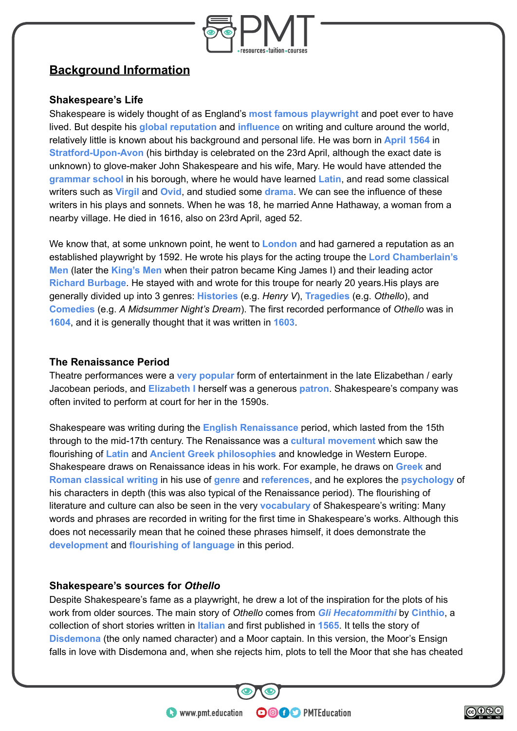

### **Background Information**

#### **Shakespeare's Life**

Shakespeare is widely thought of as England's **most famous playwright** and poet ever to have lived. But despite his **global reputation** and **influence** on writing and culture around the world, relatively little is known about his background and personal life. He was born in **April 1564** in **Stratford-Upon-Avon** (his birthday is celebrated on the 23rd April, although the exact date is unknown) to glove-maker John Shakespeare and his wife, Mary. He would have attended the **grammar school** in his borough, where he would have learned **Latin**, and read some classical writers such as **Virgil** and **Ovid**, and studied some **drama**. We can see the influence of these writers in his plays and sonnets. When he was 18, he married Anne Hathaway, a woman from a nearby village. He died in 1616, also on 23rd April, aged 52.

We know that, at some unknown point, he went to **London** and had garnered a reputation as an established playwright by 1592. He wrote his plays for the acting troupe the **Lord Chamberlain's Men** (later the **King's Men** when their patron became King James I) and their leading actor **Richard Burbage**. He stayed with and wrote for this troupe for nearly 20 years.His plays are generally divided up into 3 genres: **Histories** (e.g. *Henry V*), **Tragedies** (e.g. *Othello*), and **Comedies** (e.g. *A Midsummer Night's Dream*). The first recorded performance of *Othello* was in **1604**, and it is generally thought that it was written in **1603**.

#### **The Renaissance Period**

Theatre performances were a **very popular** form of entertainment in the late Elizabethan / early Jacobean periods, and **Elizabeth I** herself was a generous **patron**. Shakespeare's company was often invited to perform at court for her in the 1590s.

Shakespeare was writing during the **English Renaissance** period, which lasted from the 15th through to the mid-17th century. The Renaissance was a **cultural movement** which saw the flourishing of **Latin** and **Ancient Greek philosophies** and knowledge in Western Europe. Shakespeare draws on Renaissance ideas in his work. For example, he draws on **Greek** and **Roman classical writing** in his use of **genre** and **references**, and he explores the **psychology** of his characters in depth (this was also typical of the Renaissance period). The flourishing of literature and culture can also be seen in the very **vocabulary** of Shakespeare's writing: Many words and phrases are recorded in writing for the first time in Shakespeare's works. Although this does not necessarily mean that he coined these phrases himself, it does demonstrate the **development** and **flourishing of language** in this period.

#### **Shakespeare's sources for** *Othello*

Despite Shakespeare's fame as a playwright, he drew a lot of the inspiration for the plots of his work from older sources. The main story of *Othello* comes from *Gli Hecatommithi* by **Cinthio**, a collection of short stories written in **Italian** and first published in **1565**. It tells the story of **Disdemona** (the only named character) and a Moor captain. In this version, the Moor's Ensign falls in love with Disdemona and, when she rejects him, plots to tell the Moor that she has cheated

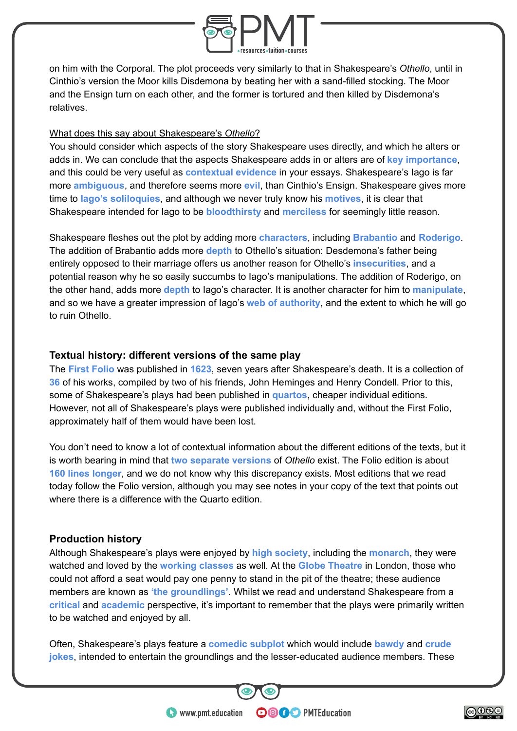

on him with the Corporal. The plot proceeds very similarly to that in Shakespeare's *Othello*, until in Cinthio's version the Moor kills Disdemona by beating her with a sand-filled stocking. The Moor and the Ensign turn on each other, and the former is tortured and then killed by Disdemona's relatives.

#### What does this say about Shakespeare's *Othello*?

You should consider which aspects of the story Shakespeare uses directly, and which he alters or adds in. We can conclude that the aspects Shakespeare adds in or alters are of **key importance**, and this could be very useful as **contextual evidence** in your essays. Shakespeare's Iago is far more **ambiguous**, and therefore seems more **evil**, than Cinthio's Ensign. Shakespeare gives more time to **Iago's soliloquies**, and although we never truly know his **motives**, it is clear that Shakespeare intended for Iago to be **bloodthirsty** and **merciless** for seemingly little reason.

Shakespeare fleshes out the plot by adding more **characters**, including **Brabantio** and **Roderigo**. The addition of Brabantio adds more **depth** to Othello's situation: Desdemona's father being entirely opposed to their marriage offers us another reason for Othello's **insecurities**, and a potential reason why he so easily succumbs to Iago's manipulations. The addition of Roderigo, on the other hand, adds more **depth** to Iago's character. It is another character for him to **manipulate**, and so we have a greater impression of Iago's **web of authority**, and the extent to which he will go to ruin Othello.

#### **Textual history: different versions of the same play**

The **First Folio** was published in **1623**, seven years after Shakespeare's death. It is a collection of **36** of his works, compiled by two of his friends, John Heminges and Henry Condell. Prior to this, some of Shakespeare's plays had been published in **quartos**, cheaper individual editions. However, not all of Shakespeare's plays were published individually and, without the First Folio, approximately half of them would have been lost.

You don't need to know a lot of contextual information about the different editions of the texts, but it is worth bearing in mind that **two separate versions** of *Othello* exist. The Folio edition is about **160 lines longer**, and we do not know why this discrepancy exists. Most editions that we read today follow the Folio version, although you may see notes in your copy of the text that points out where there is a difference with the Quarto edition.

#### **Production history**

Although Shakespeare's plays were enjoyed by **high society**, including the **monarch**, they were watched and loved by the **working classes** as well. At the **Globe Theatre** in London, those who could not afford a seat would pay one penny to stand in the pit of the theatre; these audience members are known as **'the groundlings'**. Whilst we read and understand Shakespeare from a **critical** and **academic** perspective, it's important to remember that the plays were primarily written to be watched and enjoyed by all.

Often, Shakespeare's plays feature a **comedic subplot** which would include **bawdy** and **crude jokes**, intended to entertain the groundlings and the lesser-educated audience members. These

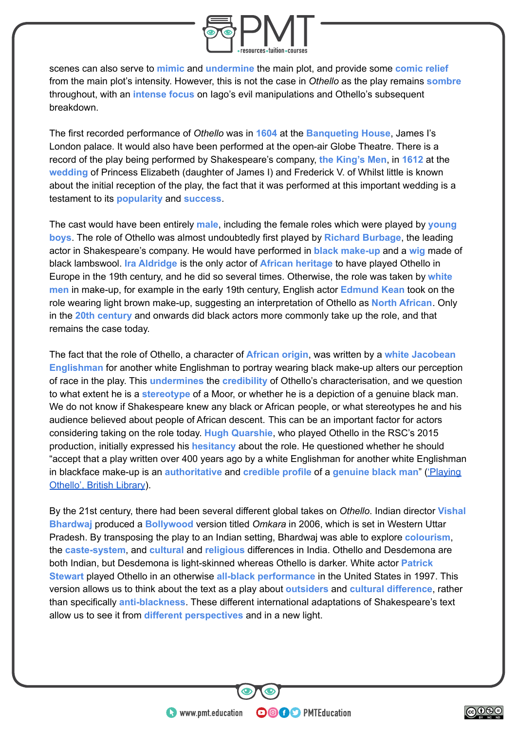

scenes can also serve to **mimic** and **undermine** the main plot, and provide some **comic relief** from the main plot's intensity. However, this is not the case in *Othello* as the play remains **sombre** throughout, with an **intense focus** on Iago's evil manipulations and Othello's subsequent breakdown.

The first recorded performance of *Othello* was in **1604** at the **Banqueting House**, James I's London palace. It would also have been performed at the open-air Globe Theatre. There is a record of the play being performed by Shakespeare's company, **the King's Men**, in **1612** at the **wedding** of Princess Elizabeth (daughter of James I) and Frederick V. of Whilst little is known about the initial reception of the play, the fact that it was performed at this important wedding is a testament to its **popularity** and **success**.

The cast would have been entirely **male**, including the female roles which were played by **young boys**. The role of Othello was almost undoubtedly first played by **Richard Burbage**, the leading actor in Shakespeare's company. He would have performed in **black make-up** and a **wig** made of black lambswool. **Ira Aldridge** is the only actor of **African heritage** to have played Othello in Europe in the 19th century, and he did so several times. Otherwise, the role was taken by **white men** in make-up, for example in the early 19th century, English actor **Edmund Kean** took on the role wearing light brown make-up, suggesting an interpretation of Othello as **North African**. Only in the **20th century** and onwards did black actors more commonly take up the role, and that remains the case today.

The fact that the role of Othello, a character of **African origin**, was written by a **white Jacobean Englishman** for another white Englishman to portray wearing black make-up alters our perception of race in the play. This **undermines** the **credibility** of Othello's characterisation, and we question to what extent he is a **stereotype** of a Moor, or whether he is a depiction of a genuine black man. We do not know if Shakespeare knew any black or African people, or what stereotypes he and his audience believed about people of African descent. This can be an important factor for actors considering taking on the role today. **Hugh Quarshie**, who played Othello in the RSC's 2015 production, initially expressed his **hesitancy** about the role. He questioned whether he should "accept that a play written over 400 years ago by a white Englishman for another white Englishman in blackface make-up is an **authoritative** and **credible profile** of a **genuine black man**" [\('Playing](https://www.bl.uk/shakespeare/articles/playing-othello) [Othello', British Library](https://www.bl.uk/shakespeare/articles/playing-othello)).

By the 21st century, there had been several different global takes on *Othello*. Indian director **Vishal Bhardwaj** produced a **Bollywood** version titled *Omkara* in 2006, which is set in Western Uttar Pradesh. By transposing the play to an Indian setting, Bhardwaj was able to explore **colourism**, the **caste-system**, and **cultural** and **religious** differences in India. Othello and Desdemona are both Indian, but Desdemona is light-skinned whereas Othello is darker. White actor **Patrick Stewart** played Othello in an otherwise **all-black performance** in the United States in 1997. This version allows us to think about the text as a play about **outsiders** and **cultural difference**, rather than specifically **anti-blackness**. These different international adaptations of Shakespeare's text allow us to see it from **different perspectives** and in a new light.

**OOOO** PMTEducation

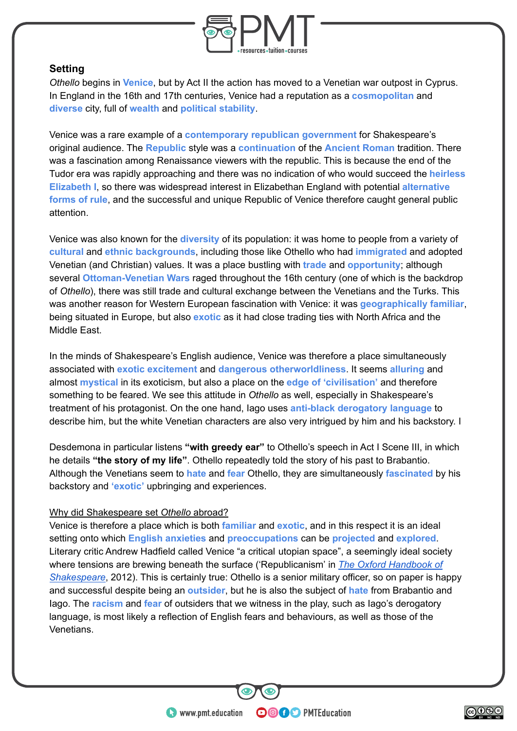

#### **Setting**

*Othello* begins in **Venice**, but by Act II the action has moved to a Venetian war outpost in Cyprus. In England in the 16th and 17th centuries, Venice had a reputation as a **cosmopolitan** and **diverse** city, full of **wealth** and **political stability**.

Venice was a rare example of a **contemporary republican government** for Shakespeare's original audience. The **Republic** style was a **continuation** of the **Ancient Roman** tradition. There was a fascination among Renaissance viewers with the republic. This is because the end of the Tudor era was rapidly approaching and there was no indication of who would succeed the **heirless Elizabeth I**, so there was widespread interest in Elizabethan England with potential **alternative forms of rule**, and the successful and unique Republic of Venice therefore caught general public attention.

Venice was also known for the **diversity** of its population: it was home to people from a variety of **cultural** and **ethnic backgrounds**, including those like Othello who had **immigrated** and adopted Venetian (and Christian) values. It was a place bustling with **trade** and **opportunity**; although several **Ottoman-Venetian Wars** raged throughout the 16th century (one of which is the backdrop of *Othello*), there was still trade and cultural exchange between the Venetians and the Turks. This was another reason for Western European fascination with Venice: it was **geographically familiar**, being situated in Europe, but also **exotic** as it had close trading ties with North Africa and the Middle East.

In the minds of Shakespeare's English audience, Venice was therefore a place simultaneously associated with **exotic excitement** and **dangerous otherworldliness**. It seems **alluring** and almost **mystical** in its exoticism, but also a place on the **edge of 'civilisation'** and therefore something to be feared. We see this attitude in *Othello* as well, especially in Shakespeare's treatment of his protagonist. On the one hand, Iago uses **anti-black derogatory language** to describe him, but the white Venetian characters are also very intrigued by him and his backstory. I

Desdemona in particular listens **"with greedy ear"** to Othello's speech in Act I Scene III, in which he details **"the story of my life"**. Othello repeatedly told the story of his past to Brabantio. Although the Venetians seem to **hate** and **fear** Othello, they are simultaneously **fascinated** by his backstory and **'exotic'** upbringing and experiences.

#### Why did Shakespeare set *Othello* abroad?

Venice is therefore a place which is both **familiar** and **exotic**, and in this respect it is an ideal setting onto which **English anxieties** and **preoccupations** can be **projected** and **explored**. Literary critic Andrew Hadfield called Venice "a critical utopian space", a seemingly ideal society where tensions are brewing beneath the surface ('Republicanism' in *[The Oxford Handbook of](https://books.google.co.uk/books?id=DkBoAgAAQBAJ&dq=%22a+critical+utopian+space%22+shakespeare) [Shakespeare](https://books.google.co.uk/books?id=DkBoAgAAQBAJ&dq=%22a+critical+utopian+space%22+shakespeare)*, 2012). This is certainly true: Othello is a senior military officer, so on paper is happy and successful despite being an **outsider**, but he is also the subject of **hate** from Brabantio and Iago. The **racism** and **fear** of outsiders that we witness in the play, such as Iago's derogatory language, is most likely a reflection of English fears and behaviours, as well as those of the Venetians.

**OOOO** PMTEducation

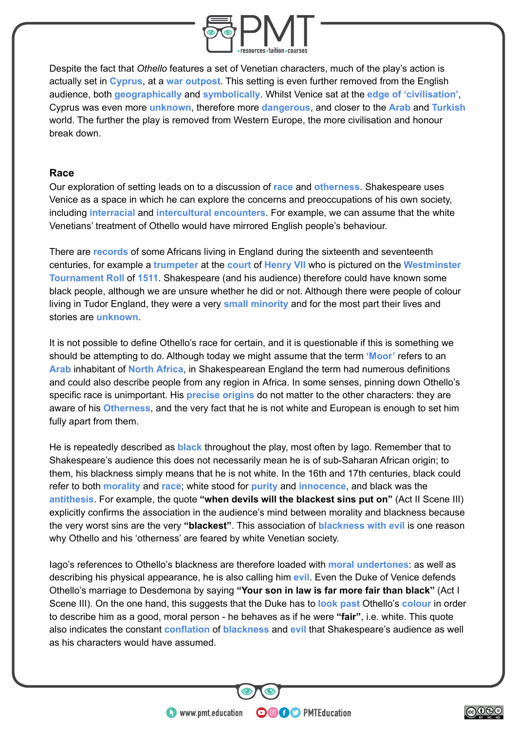

Despite the fact that *Othello* features a set of Venetian characters, much of the play's action is actually set in **Cyprus**, at a **war outpost**. This setting is even further removed from the English audience, both **geographically** and **symbolically**. Whilst Venice sat at the **edge of 'civilisation'**, Cyprus was even more **unknown**, therefore more **dangerous**, and closer to the **Arab** and **Turkish** world. The further the play is removed from Western Europe, the more civilisation and honour break down.

#### **Race**

Our exploration of setting leads on to a discussion of **race** and **otherness**. Shakespeare uses Venice as a space in which he can explore the concerns and preoccupations of his own society, including **interracial** and **intercultural encounters**. For example, we can assume that the white Venetians' treatment of Othello would have mirrored English people's behaviour.

There are **records** of some Africans living in England during the sixteenth and seventeenth centuries, for example a **trumpeter** at the **court** of **Henry VII** who is pictured on the **Westminster Tournament Roll** of **1511**. Shakespeare (and his audience) therefore could have known some black people, although we are unsure whether he did or not. Although there were people of colour living in Tudor England, they were a very **small minority** and for the most part their lives and stories are **unknown**.

It is not possible to define Othello's race for certain, and it is questionable if this is something we should be attempting to do. Although today we might assume that the term **'Moor'** refers to an **Arab** inhabitant of **North Africa**, in Shakespearean England the term had numerous definitions and could also describe people from any region in Africa. In some senses, pinning down Othello's specific race is unimportant. His **precise origins** do not matter to the other characters: they are aware of his **Otherness**, and the very fact that he is not white and European is enough to set him fully apart from them.

He is repeatedly described as **black** throughout the play, most often by Iago. Remember that to Shakespeare's audience this does not necessarily mean he is of sub-Saharan African origin; to them, his blackness simply means that he is not white. In the 16th and 17th centuries, black could refer to both **morality** and **race**; white stood for **purity** and **innocence**, and black was the **antithesis**. For example, the quote **"when devils will the blackest sins put on"** (Act II Scene III) explicitly confirms the association in the audience's mind between morality and blackness because the very worst sins are the very **"blackest"**. This association of **blackness with evil** is one reason why Othello and his 'otherness' are feared by white Venetian society.

Iago's references to Othello's blackness are therefore loaded with **moral undertones**: as well as describing his physical appearance, he is also calling him **evil**. Even the Duke of Venice defends Othello's marriage to Desdemona by saying **"Your son in law is far more fair than black"** (Act I Scene III). On the one hand, this suggests that the Duke has to **look past** Othello's **colour** in order to describe him as a good, moral person - he behaves as if he were **"fair"**, i.e. white. This quote also indicates the constant **conflation** of **blackness** and **evil** that Shakespeare's audience as well as his characters would have assumed.

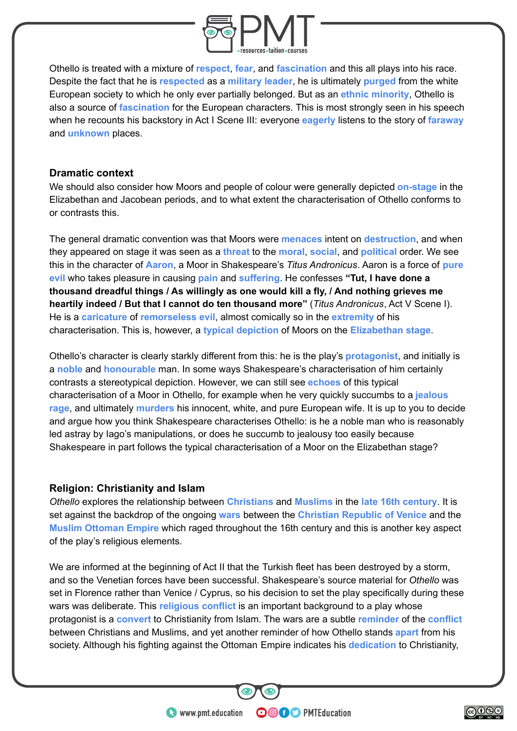

Othello is treated with a mixture of **respect**, **fear**, and **fascination** and this all plays into his race. Despite the fact that he is **respected** as a **military leader**, he is ultimately **purged** from the white European society to which he only ever partially belonged. But as an **ethnic minority**, Othello is also a source of **fascination** for the European characters. This is most strongly seen in his speech when he recounts his backstory in Act I Scene III: everyone **eagerly** listens to the story of **faraway** and **unknown** places.

#### **Dramatic context**

We should also consider how Moors and people of colour were generally depicted **on-stage** in the Elizabethan and Jacobean periods, and to what extent the characterisation of Othello conforms to or contrasts this.

The general dramatic convention was that Moors were **menaces** intent on **destruction**, and when they appeared on stage it was seen as a **threat** to the **moral**, **social**, and **political** order. We see this in the character of **Aaron**, a Moor in Shakespeare's *Titus Andronicus*. Aaron is a force of **pure evil** who takes pleasure in causing **pain** and **suffering**. He confesses **"Tut, I have done a thousand dreadful things / As willingly as one would kill a fly, / And nothing grieves me heartily indeed / But that I cannot do ten thousand more"** (*Titus Andronicus*, Act V Scene I). He is a **caricature** of **remorseless evil**, almost comically so in the **extremity** of his characterisation. This is, however, a **typical depiction** of Moors on the **Elizabethan stage**.

Othello's character is clearly starkly different from this: he is the play's **protagonist**, and initially is a **noble** and **honourable** man. In some ways Shakespeare's characterisation of him certainly contrasts a stereotypical depiction. However, we can still see **echoes** of this typical characterisation of a Moor in Othello, for example when he very quickly succumbs to a **jealous rage**, and ultimately **murders** his innocent, white, and pure European wife. It is up to you to decide and argue how you think Shakespeare characterises Othello: is he a noble man who is reasonably led astray by Iago's manipulations, or does he succumb to jealousy too easily because Shakespeare in part follows the typical characterisation of a Moor on the Elizabethan stage?

#### **Religion: Christianity and Islam**

*Othello* explores the relationship between **Christians** and **Muslims** in the **late 16th century**. It is set against the backdrop of the ongoing **wars** between the **Christian Republic of Venice** and the **Muslim Ottoman Empire** which raged throughout the 16th century and this is another key aspect of the play's religious elements.

We are informed at the beginning of Act II that the Turkish fleet has been destroved by a storm, and so the Venetian forces have been successful. Shakespeare's source material for *Othello* was set in Florence rather than Venice / Cyprus, so his decision to set the play specifically during these wars was deliberate. This **religious conflict** is an important background to a play whose protagonist is a **convert** to Christianity from Islam. The wars are a subtle **reminder** of the **conflict** between Christians and Muslims, and yet another reminder of how Othello stands **apart** from his society. Although his fighting against the Ottoman Empire indicates his **dedication** to Christianity,

**OOOO** PMTEducation

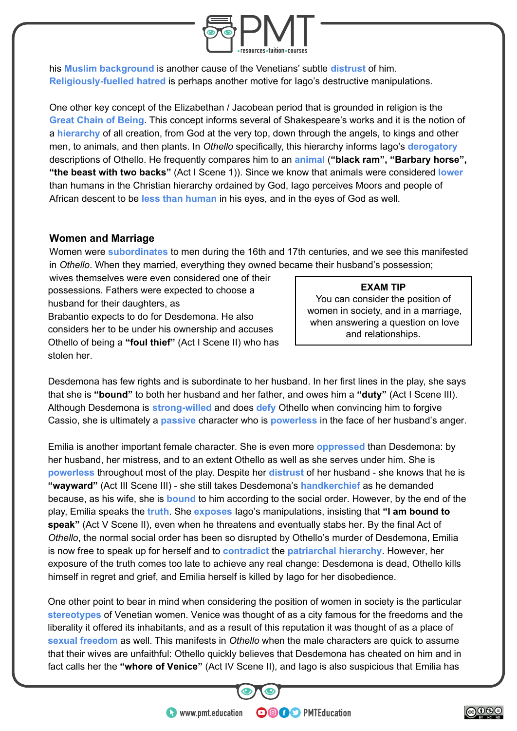

his **Muslim background** is another cause of the Venetians' subtle **distrust** of him. **Religiously-fuelled hatred** is perhaps another motive for Iago's destructive manipulations.

One other key concept of the Elizabethan / Jacobean period that is grounded in religion is the **Great Chain of Being**. This concept informs several of Shakespeare's works and it is the notion of a **hierarchy** of all creation, from God at the very top, down through the angels, to kings and other men, to animals, and then plants. In *Othello* specifically, this hierarchy informs Iago's **derogatory** descriptions of Othello. He frequently compares him to an **animal** (**"black ram", "Barbary horse", "the beast with two backs"** (Act I Scene 1)). Since we know that animals were considered **lower** than humans in the Christian hierarchy ordained by God, Iago perceives Moors and people of African descent to be **less than human** in his eyes, and in the eyes of God as well.

#### **Women and Marriage**

Women were **subordinates** to men during the 16th and 17th centuries, and we see this manifested in *Othello*. When they married, everything they owned became their husband's possession;

wives themselves were even considered one of their possessions. Fathers were expected to choose a husband for their daughters, as Brabantio expects to do for Desdemona. He also considers her to be under his ownership and accuses

Othello of being a **"foul thief"** (Act I Scene II) who has stolen her.

#### **EXAM TIP**

You can consider the position of women in society, and in a marriage, when answering a question on love and relationships.

Desdemona has few rights and is subordinate to her husband. In her first lines in the play, she says that she is **"bound"** to both her husband and her father, and owes him a **"duty"** (Act I Scene III). Although Desdemona is **strong-willed** and does **defy** Othello when convincing him to forgive Cassio, she is ultimately a **passive** character who is **powerless** in the face of her husband's anger.

Emilia is another important female character. She is even more **oppressed** than Desdemona: by her husband, her mistress, and to an extent Othello as well as she serves under him. She is **powerless** throughout most of the play. Despite her **distrust** of her husband - she knows that he is **"wayward"** (Act III Scene III) - she still takes Desdemona's **handkerchief** as he demanded because, as his wife, she is **bound** to him according to the social order. However, by the end of the play, Emilia speaks the **truth**. She **exposes** Iago's manipulations, insisting that **"I am bound to speak"** (Act V Scene II), even when he threatens and eventually stabs her. By the final Act of *Othello*, the normal social order has been so disrupted by Othello's murder of Desdemona, Emilia is now free to speak up for herself and to **contradict** the **patriarchal hierarchy**. However, her exposure of the truth comes too late to achieve any real change: Desdemona is dead, Othello kills himself in regret and grief, and Emilia herself is killed by Iago for her disobedience.

One other point to bear in mind when considering the position of women in society is the particular **stereotypes** of Venetian women. Venice was thought of as a city famous for the freedoms and the liberality it offered its inhabitants, and as a result of this reputation it was thought of as a place of **sexual freedom** as well. This manifests in *Othello* when the male characters are quick to assume that their wives are unfaithful: Othello quickly believes that Desdemona has cheated on him and in fact calls her the **"whore of Venice"** (Act IV Scene II), and Iago is also suspicious that Emilia has